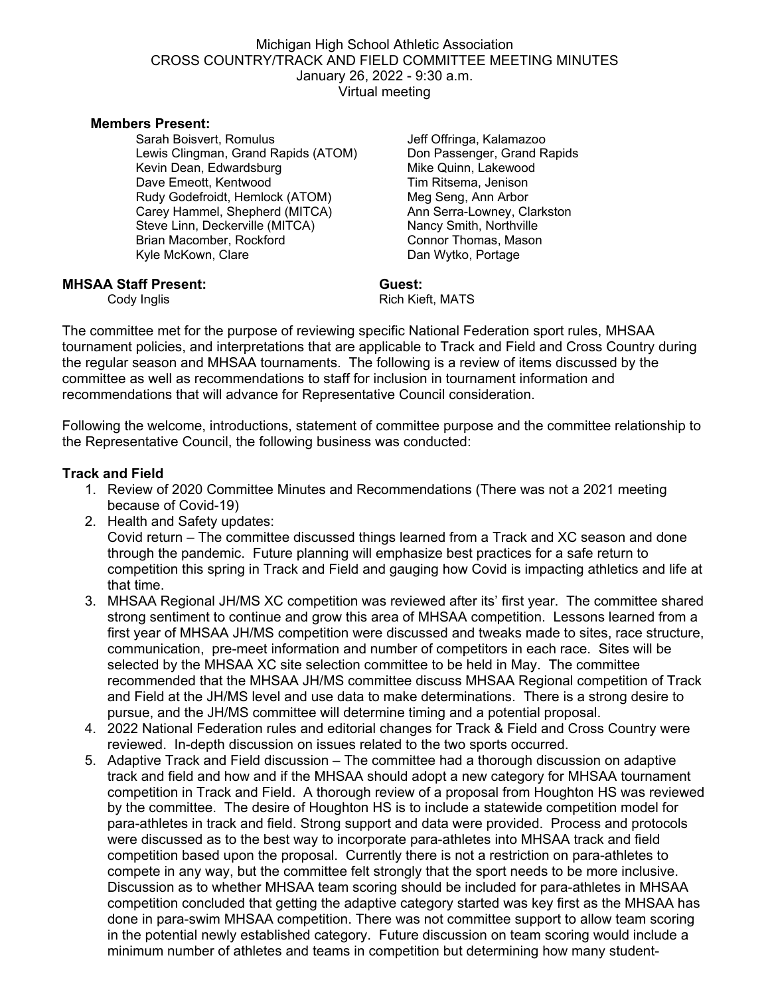#### Michigan High School Athletic Association CROSS COUNTRY/TRACK AND FIELD COMMITTEE MEETING MINUTES January 26, 2022 - 9:30 a.m. Virtual meeting

#### **Members Present:**

Sarah Boisvert, Romulus Lewis Clingman, Grand Rapids (ATOM) Kevin Dean, Edwardsburg Dave Emeott, Kentwood Rudy Godefroidt, Hemlock (ATOM) Carey Hammel, Shepherd (MITCA) Steve Linn, Deckerville (MITCA) Brian Macomber, Rockford Kyle McKown, Clare

Jeff Offringa, Kalamazoo Don Passenger, Grand Rapids Mike Quinn, Lakewood Tim Ritsema, Jenison Meg Seng, Ann Arbor Ann Serra-Lowney, Clarkston Nancy Smith, Northville Connor Thomas, Mason Dan Wytko, Portage

# **MHSAA Staff Present:** Guest: Guest: Cody Inglis

Rich Kieft, MATS

The committee met for the purpose of reviewing specific National Federation sport rules, MHSAA tournament policies, and interpretations that are applicable to Track and Field and Cross Country during the regular season and MHSAA tournaments. The following is a review of items discussed by the committee as well as recommendations to staff for inclusion in tournament information and recommendations that will advance for Representative Council consideration.

Following the welcome, introductions, statement of committee purpose and the committee relationship to the Representative Council, the following business was conducted:

#### **Track and Field**

- 1. Review of 2020 Committee Minutes and Recommendations (There was not a 2021 meeting because of Covid-19)
- 2. Health and Safety updates:

Covid return – The committee discussed things learned from a Track and XC season and done through the pandemic. Future planning will emphasize best practices for a safe return to competition this spring in Track and Field and gauging how Covid is impacting athletics and life at that time.

- 3. MHSAA Regional JH/MS XC competition was reviewed after its' first year. The committee shared strong sentiment to continue and grow this area of MHSAA competition. Lessons learned from a first year of MHSAA JH/MS competition were discussed and tweaks made to sites, race structure, communication, pre-meet information and number of competitors in each race. Sites will be selected by the MHSAA XC site selection committee to be held in May. The committee recommended that the MHSAA JH/MS committee discuss MHSAA Regional competition of Track and Field at the JH/MS level and use data to make determinations. There is a strong desire to pursue, and the JH/MS committee will determine timing and a potential proposal.
- 4. 2022 National Federation rules and editorial changes for Track & Field and Cross Country were reviewed. In-depth discussion on issues related to the two sports occurred.
- 5. Adaptive Track and Field discussion The committee had a thorough discussion on adaptive track and field and how and if the MHSAA should adopt a new category for MHSAA tournament competition in Track and Field. A thorough review of a proposal from Houghton HS was reviewed by the committee. The desire of Houghton HS is to include a statewide competition model for para-athletes in track and field. Strong support and data were provided. Process and protocols were discussed as to the best way to incorporate para-athletes into MHSAA track and field competition based upon the proposal. Currently there is not a restriction on para-athletes to compete in any way, but the committee felt strongly that the sport needs to be more inclusive. Discussion as to whether MHSAA team scoring should be included for para-athletes in MHSAA competition concluded that getting the adaptive category started was key first as the MHSAA has done in para-swim MHSAA competition. There was not committee support to allow team scoring in the potential newly established category. Future discussion on team scoring would include a minimum number of athletes and teams in competition but determining how many student-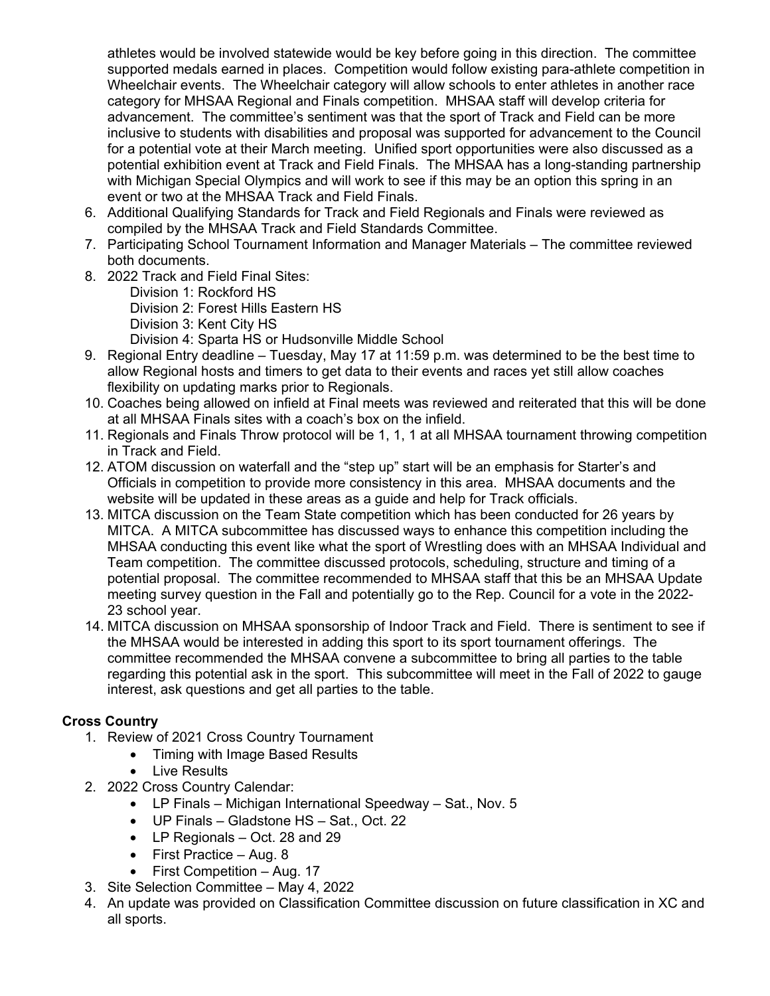athletes would be involved statewide would be key before going in this direction. The committee supported medals earned in places. Competition would follow existing para-athlete competition in Wheelchair events. The Wheelchair category will allow schools to enter athletes in another race category for MHSAA Regional and Finals competition. MHSAA staff will develop criteria for advancement. The committee's sentiment was that the sport of Track and Field can be more inclusive to students with disabilities and proposal was supported for advancement to the Council for a potential vote at their March meeting. Unified sport opportunities were also discussed as a potential exhibition event at Track and Field Finals. The MHSAA has a long-standing partnership with Michigan Special Olympics and will work to see if this may be an option this spring in an event or two at the MHSAA Track and Field Finals.

- 6. Additional Qualifying Standards for Track and Field Regionals and Finals were reviewed as compiled by the MHSAA Track and Field Standards Committee.
- 7. Participating School Tournament Information and Manager Materials The committee reviewed both documents.
- 8. 2022 Track and Field Final Sites:

Division 1: Rockford HS Division 2: Forest Hills Eastern HS Division 3: Kent City HS Division 4: Sparta HS or Hudsonville Middle School

- 9. Regional Entry deadline Tuesday, May 17 at 11:59 p.m. was determined to be the best time to allow Regional hosts and timers to get data to their events and races yet still allow coaches flexibility on updating marks prior to Regionals.
- 10. Coaches being allowed on infield at Final meets was reviewed and reiterated that this will be done at all MHSAA Finals sites with a coach's box on the infield.
- 11. Regionals and Finals Throw protocol will be 1, 1, 1 at all MHSAA tournament throwing competition in Track and Field.
- 12. ATOM discussion on waterfall and the "step up" start will be an emphasis for Starter's and Officials in competition to provide more consistency in this area. MHSAA documents and the website will be updated in these areas as a guide and help for Track officials.
- 13. MITCA discussion on the Team State competition which has been conducted for 26 years by MITCA. A MITCA subcommittee has discussed ways to enhance this competition including the MHSAA conducting this event like what the sport of Wrestling does with an MHSAA Individual and Team competition. The committee discussed protocols, scheduling, structure and timing of a potential proposal. The committee recommended to MHSAA staff that this be an MHSAA Update meeting survey question in the Fall and potentially go to the Rep. Council for a vote in the 2022- 23 school year.
- 14. MITCA discussion on MHSAA sponsorship of Indoor Track and Field. There is sentiment to see if the MHSAA would be interested in adding this sport to its sport tournament offerings. The committee recommended the MHSAA convene a subcommittee to bring all parties to the table regarding this potential ask in the sport. This subcommittee will meet in the Fall of 2022 to gauge interest, ask questions and get all parties to the table.

# **Cross Country**

- 1. Review of 2021 Cross Country Tournament
	- Timing with Image Based Results
	- Live Results
- 2. 2022 Cross Country Calendar:
	- LP Finals Michigan International Speedway Sat., Nov. 5
	- UP Finals Gladstone HS Sat., Oct. 22
	- LP Regionals Oct. 28 and 29
	- First Practice Aug. 8
	- First Competition Aug. 17
- 3. Site Selection Committee May 4, 2022
- 4. An update was provided on Classification Committee discussion on future classification in XC and all sports.